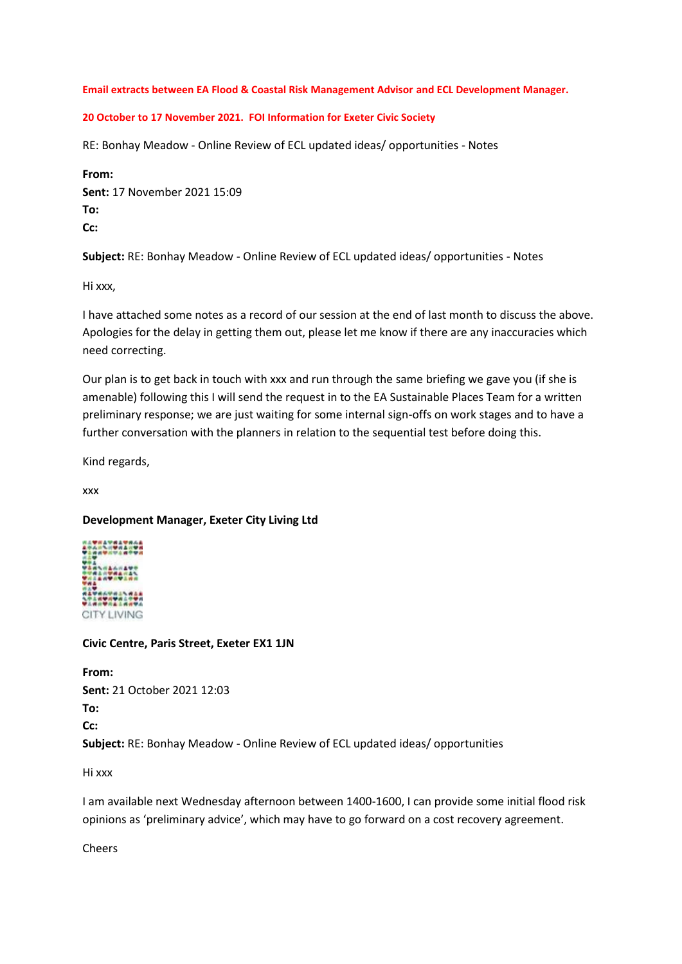## **Email extracts between EA Flood & Coastal Risk Management Advisor and ECL Development Manager.**

## **20 October to 17 November 2021. FOI Information for Exeter Civic Society**

RE: Bonhay Meadow - Online Review of ECL updated ideas/ opportunities - Notes

**From: Sent:** 17 November 2021 15:09 **To: Cc:**

**Subject:** RE: Bonhay Meadow - Online Review of ECL updated ideas/ opportunities - Notes

Hi xxx,

I have attached some notes as a record of our session at the end of last month to discuss the above. Apologies for the delay in getting them out, please let me know if there are any inaccuracies which need correcting.

Our plan is to get back in touch with xxx and run through the same briefing we gave you (if she is amenable) following this I will send the request in to the EA Sustainable Places Team for a written preliminary response; we are just waiting for some internal sign-offs on work stages and to have a further conversation with the planners in relation to the sequential test before doing this.

Kind regards,

xxx

## **Development Manager, Exeter City Living Ltd**



**Civic Centre, Paris Street, Exeter EX1 1JN**

**From: Sent:** 21 October 2021 12:03 **To: Cc: Subject:** RE: Bonhay Meadow - Online Review of ECL updated ideas/ opportunities

Hi xxx

I am available next Wednesday afternoon between 1400-1600, I can provide some initial flood risk opinions as 'preliminary advice', which may have to go forward on a cost recovery agreement.

Cheers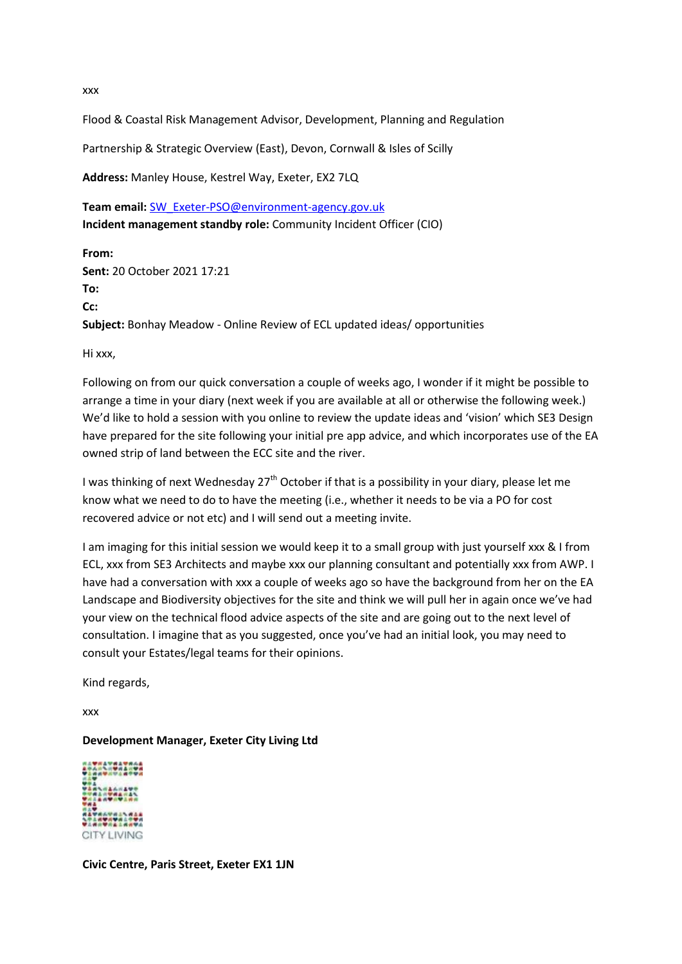xxx

Flood & Coastal Risk Management Advisor, Development, Planning and Regulation

Partnership & Strategic Overview (East), Devon, Cornwall & Isles of Scilly

**Address:** Manley House, Kestrel Way, Exeter, EX2 7LQ

**Team email:** [SW\\_Exeter-PSO@environment-agency.gov.uk](mailto:SW_Exeter-PSO@environment-agency.gov.uk) **Incident management standby role:** Community Incident Officer (CIO)

**From: Sent:** 20 October 2021 17:21 **To: Cc: Subject:** Bonhay Meadow - Online Review of ECL updated ideas/ opportunities

Hi xxx,

Following on from our quick conversation a couple of weeks ago, I wonder if it might be possible to arrange a time in your diary (next week if you are available at all or otherwise the following week.) We'd like to hold a session with you online to review the update ideas and 'vision' which SE3 Design have prepared for the site following your initial pre app advice, and which incorporates use of the EA owned strip of land between the ECC site and the river.

I was thinking of next Wednesday  $27<sup>th</sup>$  October if that is a possibility in your diary, please let me know what we need to do to have the meeting (i.e., whether it needs to be via a PO for cost recovered advice or not etc) and I will send out a meeting invite.

I am imaging for this initial session we would keep it to a small group with just yourself xxx & I from ECL, xxx from SE3 Architects and maybe xxx our planning consultant and potentially xxx from AWP. I have had a conversation with xxx a couple of weeks ago so have the background from her on the EA Landscape and Biodiversity objectives for the site and think we will pull her in again once we've had your view on the technical flood advice aspects of the site and are going out to the next level of consultation. I imagine that as you suggested, once you've had an initial look, you may need to consult your Estates/legal teams for their opinions.

Kind regards,

xxx

**Development Manager, Exeter City Living Ltd**



**Civic Centre, Paris Street, Exeter EX1 1JN**